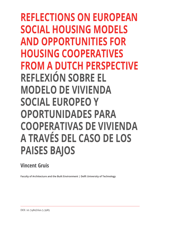**REFLECTIONS ON EUROPEAN SOCIAL HOUSING MODELS AND OPPORTUNITIES FOR HOUSING COOPERATIVES FROM A DUTCH PERSPECTIVE REFLEXIÓN SOBRE EL MODELO DE VIVIENDA SOCIAL EUROPEO Y OPORTUNIDADES PARA COOPERATIVAS DE VIVIENDA A TRAVÉS DEL CASO DE LOS PAISES BAJOS**

## **Vincent Gruis**

**Faculty of Architecture and the Built Environment | Delft University of Technology**

DOI: 10.7480/rius.5.3985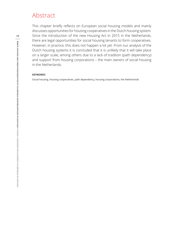## Abstract

This chapter briefly reflects on European social housing models and mainly discusses opportunities for housing cooperatives in the Dutch housing system. Since the introduction of the new Housing Act in 2015 in the Netherlands, there are legal opportunities for social housing tenants to form cooperatives. However, in practice, this does not happen a lot yet. From our analysis of the Dutch housing systems it is concluded that it is unlikely that it will take place on a larger scale, among others due to a lack of tradition (path dependency) and support from housing corporations – the main owners of social housing in the Netherlands.

#### **KEYWORDS**

Social housing, housing cooperatives, path dependency, housing corporations, the Netherlands

**28**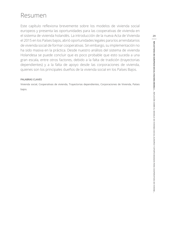# Resumen

Este capítulo reflexiona brevemente sobre los modelos de vivienda social europeos y presenta las oportunidades para las cooperativas de vivienda en el sistema de vivienda holandés. La introducción de la nueva Acta de Vivienda el 2015 en los Países bajos, abrió oportunidades legales para los arrendatarios de vivienda social de formar cooperativas. Sin embargo, su implementación no ha sido masiva en la práctica. Desde nuestro análisis del sistema de vivienda Holandesa se puede concluir que es poco probable que esto suceda a una gran escala, entre otros factores, debido a la falta de tradición (trayectorias dependientes) y a la falta de apoyo desde las corporaciones de vivienda, quienes son los principales dueños de la vivienda social en los Países Bajos.

#### **PALABRAS CLAVES**

Vivienda social, Cooperativas de vivienda, Trayectorias dependientes, Corporaciones de Vivienda, Países bajos.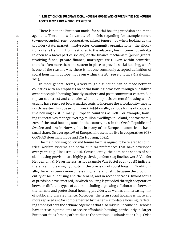#### **1. REFLECTIONS ON EUROPEAN SOCIAL HOUSING MODELS AND OPPORTUNITIES FOR HOUSING COOPERATIVES FROM A DUTCH PERSPECTIVE**

There is not one European model for social housing provision and management. There is a wide variety of models regarding for example tenure (owner-occupied, rent, cooperative, mixed tenure), or when looking at the provider (state, market, third-sector, community organizations), the allocation criteria (ranging from restricted to the relatively low-income households to open to a broad part of society) or the finance mechanism (public grants, revolving funds, private finance, mortgages etc.). Even within countries, there is often more than one system in place to provide social housing, which is one of the reasons why there is not one commonly accepted definition of social housing in Europe, not even within the EU (see e.g. Brava & Palvarini, 2013).

In more general terms, a very rough distinction can be made between countries with an emphasis on social housing provision through subsidized owner-occupied housing (mostly southern and post-communist eastern European countries) and countries with an emphasis on rental housing which usually have rents set below market rents to increase the affordability (mostly north-western European countries). Additionally, various forms of cooperative housing exist in many European countries as well. For example, housing cooperatives manage over 2,5 million dwellings in Poland, approximately 20% of the total housing stock in the country, 17% in the Czech Republic and Sweden and 15% in Norway, but in many other European countries it has a small share. On average 10% of European households live in cooperatives (CE-CODHAS Housing Europe and ICA Housing, 2012).

The main housing policy and tenure form is argued to be related to countries' welfare systems and socio-cultural preferences that have developed over years (e.g. Hoekstra, 2010). Consequently, the dominant shapes of social housing provision are highly path-dependent (e.g Boelhouwer & Van der Heijden, 1993). Nevertheless, as for example Van Bortel et al. (2018) indicate, there is an increasing hybridity in the provision of social housing. Traditionally, there has been a more or less singular relationship between the providing entity of social housing and the tenant, and in recent decades hybrid forms of provision have emerged, in which housing is provided through cooperation between different types of actors, including a growing collaboration between the tenants and professional housing providers, as well as an increasing mix of public and private finance. Moreover, the term social housing is more and more replaced and/or complemented by the term affordable housing, reflecting among others the acknowledgement that also middle-income households have increasing problems to secure affordable housing, particularly in larger European cities (among others due to the continuous urbanisation) (e.g. Czis-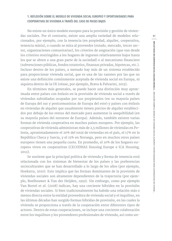### **1. REFLEXIÓN SOBRE EL MODELO DE VIVIENDA SOCIAL EUROPEO Y OPORTUNIDADES PARA COOPERATIVAS DE VIVIENDA A TRAVÉS DEL CASO DE PAISES BAJOS**

No existe un único modelo europeo para la provisión y gestión de viviendas sociales. Por el contrario, existe una amplia variedad de modelos relacionados, por ejemplo, con la tenencia (en propiedad, alquiler, cooperativa, tenencia mixta), o cuando se mira al proveedor (estado, mercado, tercer sector, organizaciones comunitarias), los criterios de asignación (que van desde los criterios restringidos a los hogares de ingresos relativamente bajos hasta los que se abren a una gran parte de la sociedad) o al mecanismo financiero (subvenciones públicas, fondos rotatorios, finanzas privadas, hipotecas, etc.). Incluso dentro de los países, a menudo hay más de un sistema establecido para proporcionar vivienda social, que es una de las razones por las que no existe una definición comúnmente aceptada de vivienda social en Europa, ni siquiera dentro de la UE (véase, por ejemplo, Brava & Palvarini, 2013).

En términos más generales, se puede hacer una distinción muy aproximada entre países con énfasis en la provisión de vivienda social a través de viviendas subsidiadas ocupadas por sus propietarios (en su mayoría países de Europa del sur y postcomunistas de Europa del este) y países con énfasis en viviendas de alquiler que usualmente tienen precios de alquiler establecidos por debajo de las rentas del mercado para aumentar la asequibilidad (en su mayoría países del noroeste de Europa). Además, también existen varias formas de vivienda cooperativa en muchos países europeos. Por ejemplo, las cooperativas de vivienda administran más de 2,5 millones de viviendas en Polonia, aproximadamente el 20% del total de viviendas en el país, el 17% en la República Checa y Suecia, y el 15% en Noruega, pero en muchos otros países europeos tienen una pequeña cuota. En promedio, el 10% de los hogares europeos viven en cooperativas (CECODHAS Housing Europe e ICA Housing, 2012).

Se sostiene que la principal política de vivienda y forma de tenencia está relacionada con los sistemas de bienestar de los países y las preferencias socioculturales que se han desarrollado a lo largo de los años (por ejemplo, Hoekstra, 2010). Esto implica que las formas dominantes de la provisión de viviendas sociales son altamente dependientes de la trayectoria (por ejemplo, Boelhouwer & Van der Heijden, 1993). Sin embargo, como por ejemplo Van Bortel et al. (2018) indican, hay una creciente hibridez en la provisión de viviendas sociales. Si bien tradicionalmente ha habido una relación más o menos directa entre la entidad proveedora de vivienda social y el inquilino, en las últimas décadas han surgido formas híbridas de provisión, en las cuales la vivienda se proporciona a través de la cooperación entre diferentes tipos de actores. Dentro de estas cooperaciones, se incluye una creciente colaboración entre los inquilinos y los proveedores profesionales de vivienda, así como un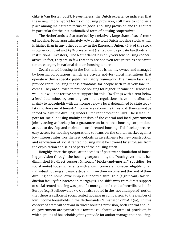chke & Van Bortel, 2018). Nevertheless, the Dutch experience indicates that these new, more hybrid forms of housing provision, still have to conquer a place among mainstream forms of (social) housing provision and this counts in particular for the institutionalized form of housing cooperatives.

The Netherlands is characterized by a relatively large share of social rented housing, being approximately 30% of the total Dutch housing stock, which is higher than in any other country in the European Union. 56 % of the stock is owner occupied and 14 % private rent (rented out by private landlords and institutional investors). The Netherlands has only very few housing cooperatives. In fact, they are so few that they are not even recognized as a separate tenure category in national data on housing tenures.

Social rented housing in the Netherlands is mainly owned and managed by housing corporations, which are private not-for-profit institutions that operate within a specific public regulatory framework. Their main task is to provide rental housing that is affordable for people with relatively low-incomes. They are allowed to provide housing for higher-income households as well, but will not receive state support for this. Dwellings with a rent below a level determined by central government regulations, have to be allocated mainly to households with an income below a level determined by state regulations. However, if tenants' income rises above the threshold, they cannot be forced to leave the dwelling, under Dutch rent protection laws. The state support for social housing mainly consists of the central and local government jointly acting as backup for a guarantee on loans that housing corporations attract to develop and maintain social rented housing. This backup secures easy access for housing corporations to loans on the capital market against low-interest rates. For the rest, deficits in investments for new construction and renovation of social rented housing must be covered by surpluses from the exploitation and sales of parts of the housing stock.

Roughly since the 1980s, after decades of post-war stimulation of housing provision through the housing corporations, the Dutch government has diminished its direct support (through "bricks-and-mortar" subsidies) for social rented housing. Tenants with a low income are, however, eligible for an individual housing allowance depending on their income and the rent of their dwelling and home-ownership is supported through a (significant) tax deduction facility for interest on mortgages. The shift away from direct support of social rented housing was part of a more general trend of neo-liberalism in Europe (e.g. Boelhouwer, 1997), but also rooted in the (not undisputed) notion that there is sufficient social rented housing in comparison to the number of low-income households in the Netherlands (Ministry of VROM, 1989). In this context of state withdrawal in direct housing provision, both central and local government are sympathetic towards collaborative forms of provision, in which groups of households jointly provide for and/or manage their housing.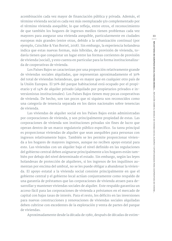acombinación cada vez mayor de financiación pública y privada. Además, el término vivienda social es cada vez más reemplazado y/o complementado por el término vivienda asequible; lo que refleja, entre otros, el reconocimiento de que también los hogares de ingresos medios tienen problemas cada vez mayores para asegurar una vivienda asequible, particularmente en ciudades europeas más grandes (entre otras, debido a la urbanización continua) (por ejemplo, Czischke & Van Bortel, 2018). Sin embargo, la experiencia holandesa indica que estas nuevas formas, más híbridas, de provisión de vivienda, todavía tienen que conquistar un lugar entre las formas corrientes de provisión de vivienda (social), y esto cuenta en particular para la forma institucionalizada de cooperativas de vivienda.

Los Países Bajos se caracterizan por una proporción relativamente grande de viviendas sociales alquiladas, que representan aproximadamente el 30% del total de viviendas holandesas, que es mayor que en cualquier otro país de la Unión Europea. El 56% del parque habitacional está ocupado por el propietario y el 14% de alquiler privado (alquilado por propietarios privados e inversionistas institucionales). Los Países Bajos tienen muy pocas cooperativas de vivienda. De hecho, son tan pocos que ni siquiera son reconocidos como una categoría de tenencia separada en los datos nacionales sobre tenencias de vivienda.

Las viviendas de alquiler social en los Países Bajos están administradas por corporaciones de vivienda, y son principalmente propiedad de estas. Las corporaciones de vivienda son instituciones privadas sin fines de lucro que operan dentro de un marco regulatorio público específico. Su tarea principal es proporcionar viviendas de alquiler que sean asequibles para personas con ingresos relativamente bajos. También se les permite proporcionar vivienda a los hogares de mayores ingresos, aunque no reciben apoyo estatal para esto. Las viviendas con un alquiler bajo el nivel definido en las regulaciones del gobierno central deben asignarse principalmente a los hogares están también por debajo del nivel determinado el estado. Sin embargo, según las leyes holandesas de protección de alquileres, si los ingresos de los inquilinos aumentan por encima del umbral, no se les puede obligar a abandonar la vivienda. El apoyo estatal a la vivienda social consiste principalmente en que el gobierno central y el gobierno local actúan conjuntamente como respaldo de una garantía de préstamos que las corporaciones de vivienda atraen para desarrollar y mantener viviendas sociales de alquiler. Este respaldo garantiza un acceso fácil para las corporaciones de vivienda a préstamos en el mercado de capital con bajas tasas de interés. Para el resto, los déficits en las inversiones para nuevas construcciones y renovaciones de viviendas sociales alquiladas deben cubrirse con excedentes de la explotación y venta de partes del parque de viviendas.

Aproximadamente desde la década de 1980, después de décadas de estim-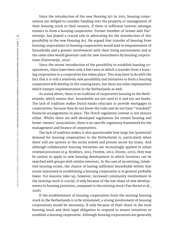Since the introduction of the new Housing Act in 2015, housing corporations are obliged to consider handing over the property or management of their housing stock to their tenants, if there is sufficient interest amongst tenants to form a housing cooperative. Former member of Senate Adri Duivesteijn, has played a crucial role in advocating for the introduction of this possibility in the new Housing Act. He argued that transfer of housing from housing corporations to housing cooperatives would lead to empowerment of households and a greater involvement with their living environment and at the same time would generate cash for new investments by housing corporations (Duivesteijn, 2013).

Since the recent introduction of the possibility to establish housing cooperatives, there have been only a few cases in which a transfer from a housing corporation to a cooperative has taken place. This may have to do with the fact that it is still a relatively new possibility and initiatives to form a housing cooperative will develop in the coming years, but there are other explanations which hamper implementation in the Netherlands as well.

As stated above, there is no tradition of cooperative housing in the Netherlands, which means that households are not used to it and nor are banks. The lack of tradition makes Dutch banks reluctant to provide mortgages to cooperatives, because they do not know the risks and do not have "standard" financial arrangements in place. The Dutch regulatory context is not mature either. Whilst there are well developed regulations for rented housing and home-owners' associations, there is no specific regulatory framework for the management and finance of cooperatives.

The lack of tradition makes it also questionable how large the (potential) demand for housing cooperatives in the Netherlands is, particularly when there still are options at the social rented and private sector for many. And although collaborative housing initiatives are increasingly applied in urban renewal processes (e.g. Krokfors, 2012; Fromm, 2012; Droste, 2015), they may be easiest to apply to new housing development in which locations can be matched with groups with similar interests. In the case of an existing, inhabited housing estate, the chance of having sufficient households within that estate interested in establishing a housing cooperative is in general probably lower. For massive take-up, however, increased community involvement in the existing stock is crucial, if only because of the low share of new developments in housing provision, compared to the existing stock (Van Bortel et al., 2018).

If the establishment of housing cooperatives from the existing housing stock in the Netherlands is to be stimulated, a strong involvement of housing corporations would be necessary, if only because of their share in the total housing stock and their legal obligation to respond to tenant initiatives to establish a housing cooperative. Although housing corporations are generally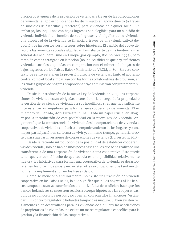ulación post-guerra de la provisión de viviendas a través de las corporaciones de vivienda, el gobierno holandés ha disminuido su apoyo directo (a través de subsidios de "ladrillos y mortero") para viviendas de alquiler social. Sin embargo, los inquilinos con bajos ingresos son elegibles para un subsidio de vivienda individual en función de sus ingresos y el alquiler de su vivienda, y la propiedad de la vivienda se financia a través de una (significativa) deducción de impuestos por intereses sobre hipotecas. El cambio del apoyo directo a las viviendas sociales alquiladas formaba parte de una tendencia más general del neoliberalismo en Europa (por ejemplo, Boelhouwer, 1997), pero también estaba arraigado en la noción (no indiscutible) de que hay suficientes viviendas sociales alquiladas en comparación con el número de hogares de bajos ingresos en los Países Bajos (Ministerio de VROM, 1989). En este contexto de retiro estatal en la provisión directa de viviendas, tanto el gobierno central como el local simpatizan con las formas colaborativas de provisión, en las cuales grupos de hogares proporcionan y/o administran conjuntamente su vivienda.

Desde la introducción de la nueva Ley de Vivienda en 2015, las corporaciones de vivienda están obligadas a considerar la entrega de la propiedad o la gestión de su stock de viviendas a sus inquilinos, si es que hay suficiente interés entre los inquilinos para formar una cooperativa de vivienda. El ex miembro del Senado, Adri Duivesteijn, ha jugado un papel crucial en abogar por la introducción de esta posibilidad en la nueva Ley de Vivienda. Argumentó que la transferencia de vivienda desde corporaciones de vivienda a cooperativas de vivienda conduciría al empoderamiento de los hogares y a una mayor participación en su forma de vivir y, al mismo tiempo, generaría efectivo para nuevas inversiones de corporaciones de vivienda (Duivesteijn, 2013).

Desde la reciente introducción de la posibilidad de establecer cooperativas de vivienda, solo ha habido unos pocos casos en los que se ha realizado una transferencia de una corporación de vivienda a una cooperativa. Esto puede tener que ver con el hecho de que todavía es una posibilidad relativamente nueva y las iniciativas para formar una cooperativa de vivienda se desarrollarán en los próximos años, pero existen otras explicaciones que también dificultan la implementación en los Países Bajos.

Como se mencionó anteriormente, no existe una tradición de vivienda cooperativa en los Países Bajos, lo que significa que ni los hogares ni los bancos tampoco están acostumbrados a ello. La falta de tradición hace que los bancos holandeses se muestren reacios a otorgar hipotecas a las cooperativas, porque no conocen los riesgos y no cuentan con acuerdos financieros "estándar". El contexto regulatorio holandés tampoco es maduro. Si bien existen reglamentos bien desarrollados para las viviendas de alquiler y las asociaciones de propietarios de viviendas, no existe un marco regulatorio específico para la gestión y la financiación de las cooperativas.

**35**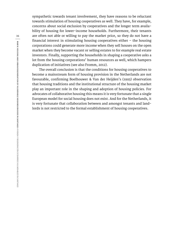sympathetic towards tenant involvement, they have reasons to be reluctant towards stimulation of housing cooperatives as well. They have, for example, concerns about social exclusion by cooperatives and the longer term availability of housing for lower-income households. Furthermore, their tenants are often not able or willing to pay the market price, so they do not have a financial interest in stimulating housing cooperatives either – the housing corporations could generate more income when they sell houses on the open market when they become vacant or selling estates to for example real estate investors. Finally, supporting the households in shaping a cooperative asks a lot from the housing corporations' human resources as well, which hampers duplication of initiatives (see also Fromm, 2012).

The overall conclusion is that the conditions for housing cooperatives to become a mainstream form of housing provision in the Netherlands are not favourable, confirming Boelhouwer & Van der Heijden's (1993) observation that housing traditions and the institutional structure of the housing market play an important role in the shaping and adoption of housing policies. For advocates of collaborative housing this means it is very fortunate that a single European model for social housing does not exist. And for the Netherlands, it is very fortunate that collaboration between and amongst tenants and landlords is not restricted to the formal establishment of housing cooperatives.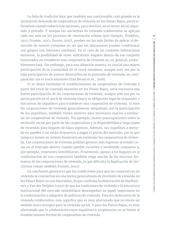La falta de tradición hace que también sea cuestionable cuán grande es la (potencial) demanda de cooperativas de vivienda en los Países Bajos, particularmente cuando todavía hay opciones, para muchos, en el sector social alquilado y privado. Y aunque las iniciativas de vivienda colaborativa se aplican cada vez más en los procesos de renovación urbana (por ejemplo, Krokfors, 2012; Fromm, 2012; Droste, 2015), pueden ser las más fáciles de aplicar al desarrollo de nuevas viviendas en las que las ubicaciones pueden combinarse con grupos con intereses similares. En el caso de un conjunto habitacional existente, la posibilidad de tener suficientes hogares dentro de ese conjunto interesados en establecer una cooperativa de vivienda es, en general, probablemente baja. Sin embargo, para una adopción masiva, es crucial una mayor participación de la comunidad en el stock existente, aunque solo sea por la baja participación de nuevos desarrollos en la provisión de vivienda, en comparación con el stock existente (Van Bortel et al., 2018).

Si se desea estimular el establecimiento de cooperativas de vivienda a partir del stock de vivienda existente en los Países Bajos, sería necesaria una fuerte participación de las corporaciones de vivienda, aunque solo sea por su participación en el stock de vivienda total y su obligación legal de responder a iniciativas de inquilinos para establecer una cooperativa de vivienda. Si bien las corporaciones de vivienda generalmente simpatizan con la participación de los inquilinos, también tienen motivos para mostrarse reacios a estimular las cooperativas de vivienda. Por ejemplo, tienen preocupaciones sobre la exclusión social por parte de las cooperativas y la disponibilidad a largo plazo de viviendas para hogares de bajos ingresos. Además, sus inquilinos a menudo no pueden o no están dispuestos a pagar el precio del mercado, por lo que tampoco tienen un interés financiero en estimular las cooperativas de vivienda. Las corporaciones de vivienda podrían generar más ingresos al vender casas en el mercado abierto cuando quedan vacantes o vendiendo conjuntos a, por ejemplo, inversores inmobiliarios. Finalmente, apoyar a los hogares en la conformación de una cooperativa también exige mucho de los recursos humanos de las corporaciones de vivienda, lo que dificulta la duplicación de iniciativas (véase también Fromm, 2012).

La conclusión general es que las condiciones para que las cooperativas de vivienda se conviertan en una forma generalizada de provisión de vivienda en los Países Bajos no son favorables, lo que confirma la observación de Boelhouwer y Van der Heijden (1993) de que las tradiciones de vivienda y la estructura institucional del mercado inmobiliario desempeñan un papel importante en la conformación y adopción de políticas de vivienda. Para los defensores de la vivienda colaborativa, esto significa que es muy afortunado que no exista un modelo único europeo para la vivienda social. Y para los Países Bajos, es muy afortunado que la colaboración entre inquilinos y propietarios no se limite al establecimiento formal de cooperativas de vivienda.